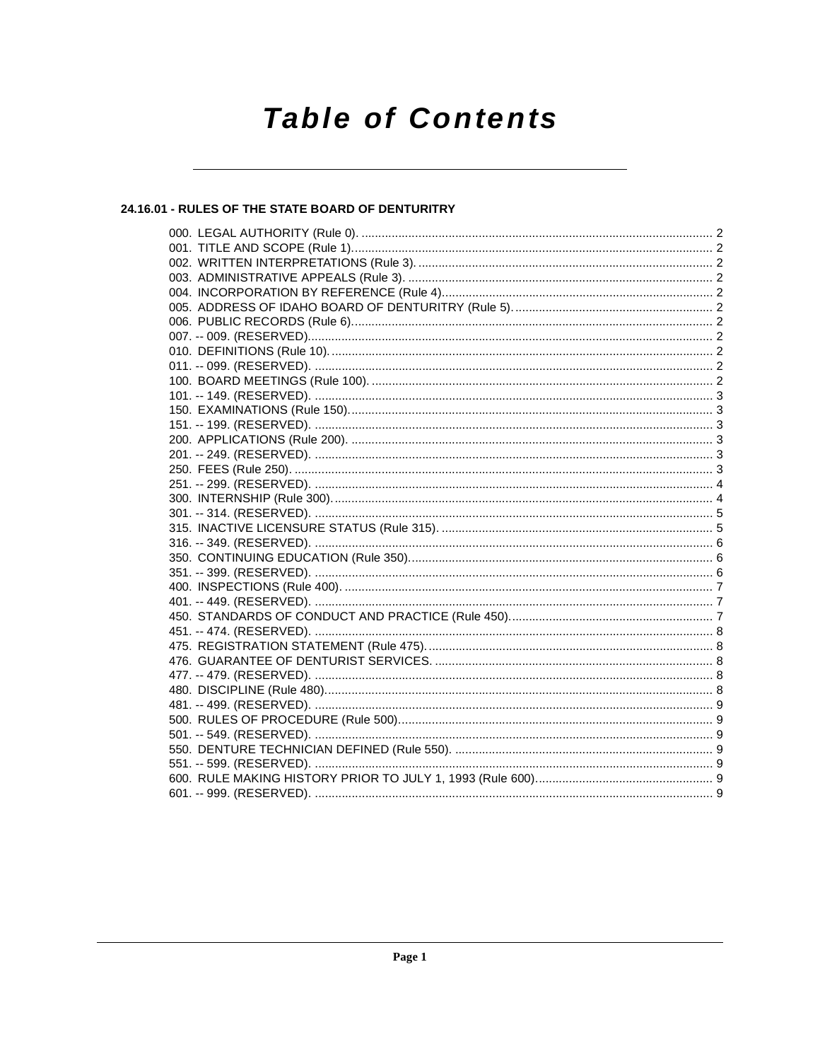# **Table of Contents**

# 24.16.01 - RULES OF THE STATE BOARD OF DENTURITRY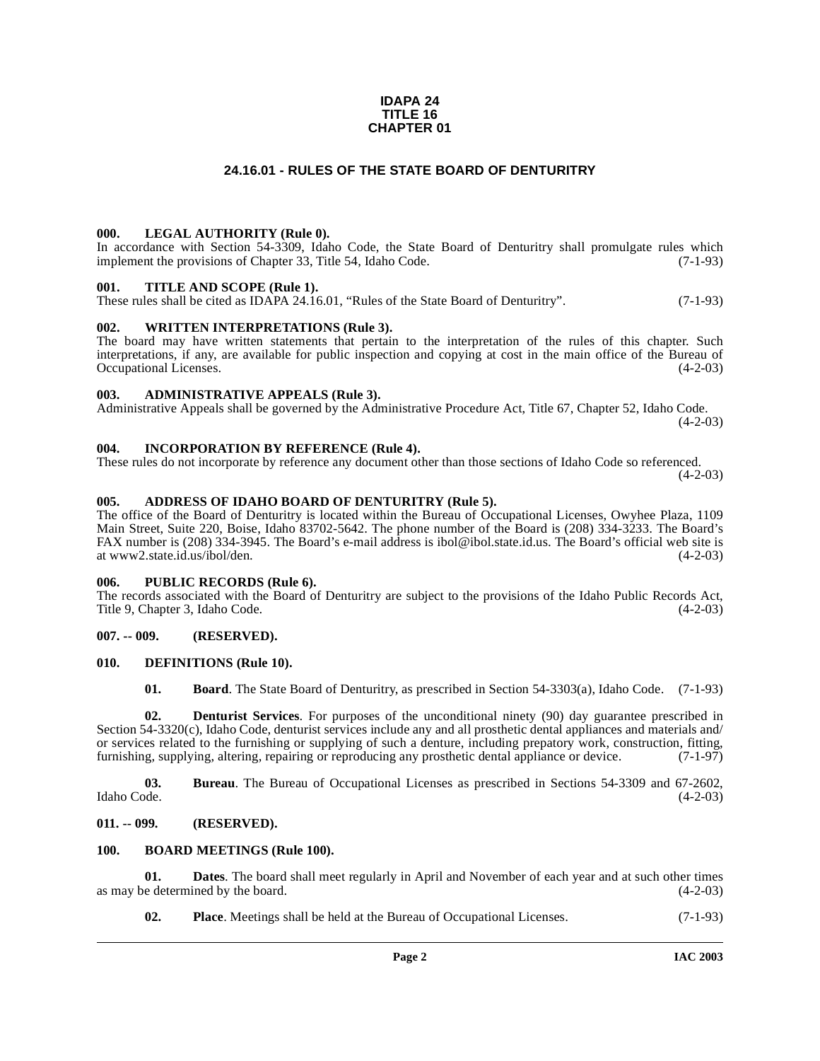### **IDAPA 24 TITLE 16 CHAPTER 01**

# **24.16.01 - RULES OF THE STATE BOARD OF DENTURITRY**

### <span id="page-1-1"></span><span id="page-1-0"></span>**000. LEGAL AUTHORITY (Rule 0).**

In accordance with Section 54-3309, Idaho Code, the State Board of Denturitry shall promulgate rules which implement the provisions of Chapter 33, Title 54, Idaho Code. (7-1-93)

#### <span id="page-1-2"></span>**001. TITLE AND SCOPE (Rule 1).**

These rules shall be cited as IDAPA 24.16.01, "Rules of the State Board of Denturitry". (7-1-93)

### <span id="page-1-3"></span>**002. WRITTEN INTERPRETATIONS (Rule 3).**

The board may have written statements that pertain to the interpretation of the rules of this chapter. Such interpretations, if any, are available for public inspection and copying at cost in the main office of the Bureau of Occupational Licenses. (4-2-03) Occupational Licenses.

### <span id="page-1-4"></span>**003. ADMINISTRATIVE APPEALS (Rule 3).**

Administrative Appeals shall be governed by the Administrative Procedure Act, Title 67, Chapter 52, Idaho Code.  $(4-2-03)$ 

## <span id="page-1-5"></span>**004. INCORPORATION BY REFERENCE (Rule 4).**

These rules do not incorporate by reference any document other than those sections of Idaho Code so referenced.  $(4-2-03)$ 

### <span id="page-1-6"></span>**005. ADDRESS OF IDAHO BOARD OF DENTURITRY (Rule 5).**

The office of the Board of Denturitry is located within the Bureau of Occupational Licenses, Owyhee Plaza, 1109 Main Street, Suite 220, Boise, Idaho 83702-5642. The phone number of the Board is (208) 334-3233. The Board's FAX number is (208) 334-3945. The Board's e-mail address is ibol@ibol.state.id.us. The Board's official web site is at www2.state.id.us/ibol/den. (4-2-03)

### <span id="page-1-7"></span>**006. PUBLIC RECORDS (Rule 6).**

The records associated with the Board of Denturitry are subject to the provisions of the Idaho Public Records Act, Title 9, Chapter 3, Idaho Code. (4-2-03) Title 9, Chapter 3, Idaho Code.

# <span id="page-1-8"></span>**007. -- 009. (RESERVED).**

### <span id="page-1-9"></span>**010. DEFINITIONS (Rule 10).**

<span id="page-1-15"></span><span id="page-1-14"></span><span id="page-1-13"></span>**01. Board**. The State Board of Denturitry, as prescribed in Section 54-3303(a), Idaho Code. (7-1-93)

**02. Denturist Services**. For purposes of the unconditional ninety (90) day guarantee prescribed in Section 54-3320(c), Idaho Code, denturist services include any and all prosthetic dental appliances and materials and/ or services related to the furnishing or supplying of such a denture, including prepatory work, construction, fitting, furnishing, supplying, altering, repairing or reproducing any prosthetic dental appliance or device. (7-1-97)

**03.** Bureau. The Bureau of Occupational Licenses as prescribed in Sections 54-3309 and 67-2602, Idaho Code. (4-2-03) Idaho Code. (4-2-03)

#### <span id="page-1-10"></span>**011. -- 099. (RESERVED).**

### <span id="page-1-12"></span><span id="page-1-11"></span>**100. BOARD MEETINGS (Rule 100).**

**01. Dates**. The board shall meet regularly in April and November of each year and at such other times e determined by the board.  $(4-2-03)$ as may be determined by the board.

**02. Place**. Meetings shall be held at the Bureau of Occupational Licenses. (7-1-93)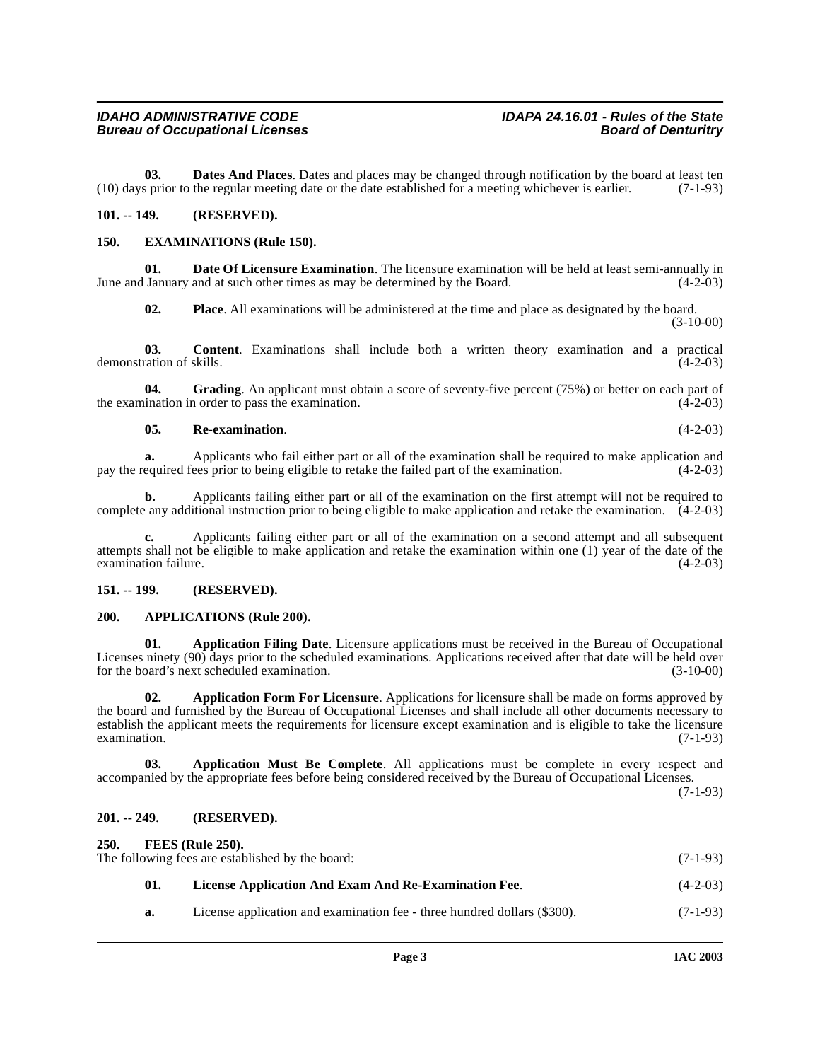**03. Dates And Places**. Dates and places may be changed through notification by the board at least ten (10) days prior to the regular meeting date or the date established for a meeting whichever is earlier. (7-1-93)

# <span id="page-2-9"></span><span id="page-2-0"></span>**101. -- 149. (RESERVED).**

### <span id="page-2-1"></span>**150. EXAMINATIONS (Rule 150).**

**01. Date Of Licensure Examination**. The licensure examination will be held at least semi-annually in June and January and at such other times as may be determined by the Board. (4-2-03)

**02. Place**. All examinations will be administered at the time and place as designated by the board. (3-10-00)

**03. Content**. Examinations shall include both a written theory examination and a practical ration of skills. (4-2-03) demonstration of skills.

**04.** Grading. An applicant must obtain a score of seventy-five percent (75%) or better on each part of the examination in order to pass the examination. (4-2-03)

### **05. Re-examination**. (4-2-03)

**a.** Applicants who fail either part or all of the examination shall be required to make application and pay the required fees prior to being eligible to retake the failed part of the examination. (4-2-03)

**b.** Applicants failing either part or all of the examination on the first attempt will not be required to complete any additional instruction prior to being eligible to make application and retake the examination. (4-2-03)

**c.** Applicants failing either part or all of the examination on a second attempt and all subsequent attempts shall not be eligible to make application and retake the examination within one (1) year of the date of the examination failure.

### <span id="page-2-2"></span>**151. -- 199. (RESERVED).**

### <span id="page-2-8"></span><span id="page-2-3"></span>**200. APPLICATIONS (Rule 200).**

<span id="page-2-6"></span>**01. Application Filing Date**. Licensure applications must be received in the Bureau of Occupational Licenses ninety (90) days prior to the scheduled examinations. Applications received after that date will be held over for the board's next scheduled examination. (3-10-00)

<span id="page-2-7"></span>**02. Application Form For Licensure**. Applications for licensure shall be made on forms approved by the board and furnished by the Bureau of Occupational Licenses and shall include all other documents necessary to establish the applicant meets the requirements for licensure except examination and is eligible to take the licensure examination. (7-1-93)

**03. Application Must Be Complete**. All applications must be complete in every respect and accompanied by the appropriate fees before being considered received by the Bureau of Occupational Licenses.

(7-1-93)

# <span id="page-2-4"></span>**201. -- 249. (RESERVED).**

<span id="page-2-11"></span><span id="page-2-10"></span><span id="page-2-5"></span>

| 250.<br>FEES (Rule 250).<br>The following fees are established by the board:<br>$(7-1-93)$ |     |                                                                          |            |
|--------------------------------------------------------------------------------------------|-----|--------------------------------------------------------------------------|------------|
|                                                                                            | 01. | License Application And Exam And Re-Examination Fee.                     | $(4-2-03)$ |
|                                                                                            | а.  | License application and examination fee - three hundred dollars (\$300). | $(7-1-93)$ |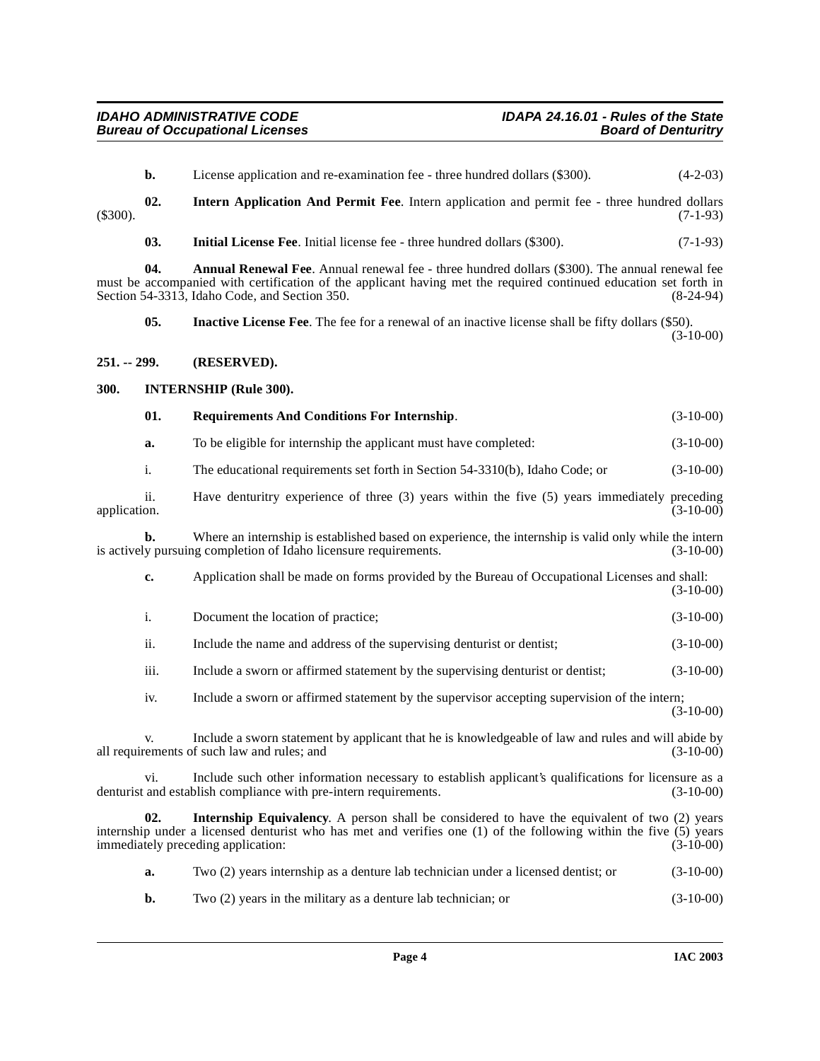<span id="page-3-8"></span><span id="page-3-7"></span><span id="page-3-5"></span><span id="page-3-4"></span><span id="page-3-3"></span><span id="page-3-2"></span><span id="page-3-1"></span><span id="page-3-0"></span>

|              | b.   | License application and re-examination fee - three hundred dollars (\$300).                                                                                                                                                                                                | $(4-2-03)$  |
|--------------|------|----------------------------------------------------------------------------------------------------------------------------------------------------------------------------------------------------------------------------------------------------------------------------|-------------|
| $(\$300).$   | 02.  | Intern Application And Permit Fee. Intern application and permit fee - three hundred dollars                                                                                                                                                                               | $(7-1-93)$  |
|              | 03.  | Initial License Fee. Initial license fee - three hundred dollars (\$300).                                                                                                                                                                                                  | $(7-1-93)$  |
|              | 04.  | <b>Annual Renewal Fee.</b> Annual renewal fee - three hundred dollars (\$300). The annual renewal fee<br>must be accompanied with certification of the applicant having met the required continued education set forth in<br>Section 54-3313, Idaho Code, and Section 350. | $(8-24-94)$ |
|              | 05.  | <b>Inactive License Fee.</b> The fee for a renewal of an inactive license shall be fifty dollars (\$50).                                                                                                                                                                   | $(3-10-00)$ |
| 251. -- 299. |      | (RESERVED).                                                                                                                                                                                                                                                                |             |
| 300.         |      | <b>INTERNSHIP (Rule 300).</b>                                                                                                                                                                                                                                              |             |
|              | 01.  | <b>Requirements And Conditions For Internship.</b>                                                                                                                                                                                                                         | $(3-10-00)$ |
|              | a.   | To be eligible for internship the applicant must have completed:                                                                                                                                                                                                           | $(3-10-00)$ |
|              | i.   | The educational requirements set forth in Section 54-3310(b), Idaho Code; or                                                                                                                                                                                               | $(3-10-00)$ |
| application. | ii.  | Have denturitry experience of three (3) years within the five (5) years immediately preceding                                                                                                                                                                              | $(3-10-00)$ |
|              | b.   | Where an internship is established based on experience, the internship is valid only while the intern<br>is actively pursuing completion of Idaho licensure requirements.                                                                                                  | $(3-10-00)$ |
|              | c.   | Application shall be made on forms provided by the Bureau of Occupational Licenses and shall:                                                                                                                                                                              | $(3-10-00)$ |
|              | i.   | Document the location of practice;                                                                                                                                                                                                                                         | $(3-10-00)$ |
|              | ii.  | Include the name and address of the supervising denturist or dentist;                                                                                                                                                                                                      | $(3-10-00)$ |
|              | iii. | Include a sworn or affirmed statement by the supervising denturist or dentist;                                                                                                                                                                                             | $(3-10-00)$ |
|              | iv.  | Include a sworn or affirmed statement by the supervisor accepting supervision of the intern;                                                                                                                                                                               | $(3-10-00)$ |
|              |      | Include a sworn statement by applicant that he is knowledgeable of law and rules and will abide by<br>all requirements of such law and rules; and                                                                                                                          | $(3-10-00)$ |
|              | vi.  | Include such other information necessary to establish applicant's qualifications for licensure as a<br>denturist and establish compliance with pre-intern requirements.                                                                                                    | $(3-10-00)$ |
|              | 02.  | <b>Internship Equivalency.</b> A person shall be considered to have the equivalent of two (2) years<br>internship under a licensed denturist who has met and verifies one (1) of the following within the five (5) years<br>immediately preceding application:             | $(3-10-00)$ |
|              | a.   | Two (2) years internship as a denture lab technician under a licensed dentist; or                                                                                                                                                                                          | $(3-10-00)$ |
|              |      |                                                                                                                                                                                                                                                                            |             |

<span id="page-3-6"></span>**b.** Two (2) years in the military as a denture lab technician; or (3-10-00)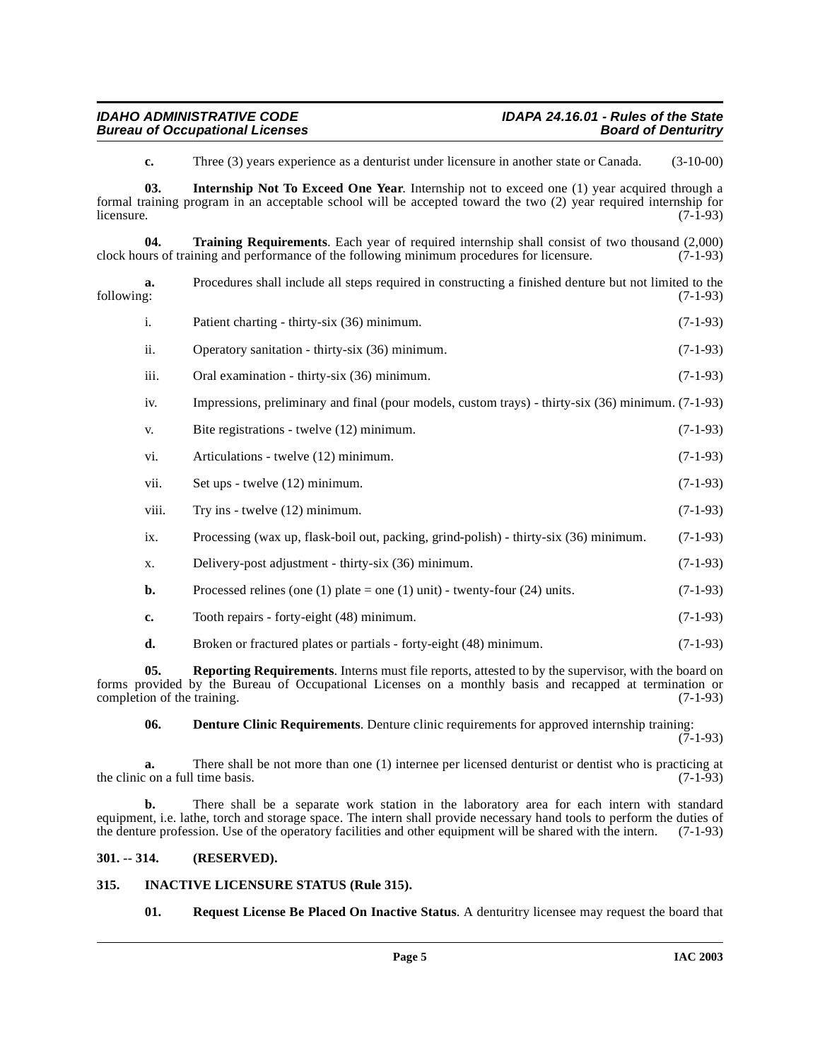<span id="page-4-7"></span><span id="page-4-4"></span>**c.** Three (3) years experience as a denturist under licensure in another state or Canada. (3-10-00)

**03. Internship Not To Exceed One Year**. Internship not to exceed one (1) year acquired through a formal training program in an acceptable school will be accepted toward the two (2) year required internship for  $l$  licensure.  $(7-1-93)$ 

**04. Training Requirements**. Each year of required internship shall consist of two thousand (2,000) urs of training and performance of the following minimum procedures for licensure. (7-1-93) clock hours of training and performance of the following minimum procedures for licensure.

| following: | Procedures shall include all steps required in constructing a finished denture but not limited to the | $(7-1-93)$ |
|------------|-------------------------------------------------------------------------------------------------------|------------|
|            | Patient charting - thirty-six (36) minimum.                                                           | $(7-1-93)$ |

| ii.  | Operatory sanitation - thirty-six (36) minimum.                                                    | $(7-1-93)$ |
|------|----------------------------------------------------------------------------------------------------|------------|
| iii. | Oral examination - thirty-six (36) minimum.                                                        | $(7-1-93)$ |
| iv.  | Impressions, preliminary and final (pour models, custom trays) - thirty-six (36) minimum. (7-1-93) |            |
| V.   | Bite registrations - twelve (12) minimum.                                                          | $(7-1-93)$ |

- vi. Articulations twelve (12) minimum. (7-1-93)
- vii. Set ups twelve  $(12)$  minimum. (7-1-93)
- viii. Try ins twelve  $(12)$  minimum. (7-1-93)
- ix. Processing (wax up, flask-boil out, packing, grind-polish) thirty-six (36) minimum. (7-1-93)
- x. Delivery-post adjustment thirty-six (36) minimum. (7-1-93)
- **b.** Processed relines (one (1) plate = one (1) unit) twenty-four (24) units.  $(7-1-93)$
- **c.** Tooth repairs forty-eight (48) minimum. (7-1-93)

# <span id="page-4-5"></span>**d.** Broken or fractured plates or partials - forty-eight (48) minimum. (7-1-93)

**05. Reporting Requirements**. Interns must file reports, attested to by the supervisor, with the board on forms provided by the Bureau of Occupational Licenses on a monthly basis and recapped at termination or completion of the training.

<span id="page-4-2"></span>**06. Denture Clinic Requirements**. Denture clinic requirements for approved internship training:

(7-1-93)

**a.** There shall be not more than one (1) internee per licensed denturist or dentist who is practicing at  $\text{c}$  on a full time basis. (7-1-93) the clinic on a full time basis.

**b.** There shall be a separate work station in the laboratory area for each intern with standard equipment, i.e. lathe, torch and storage space. The intern shall provide necessary hand tools to perform the duties of the denture profession. Use of the operatory facilities and other equipment will be shared with the intern. (7-1-93)

# <span id="page-4-0"></span>**301. -- 314. (RESERVED).**

# <span id="page-4-1"></span>**315. INACTIVE LICENSURE STATUS (Rule 315).**

<span id="page-4-6"></span><span id="page-4-3"></span>**01. Request License Be Placed On Inactive Status**. A denturitry licensee may request the board that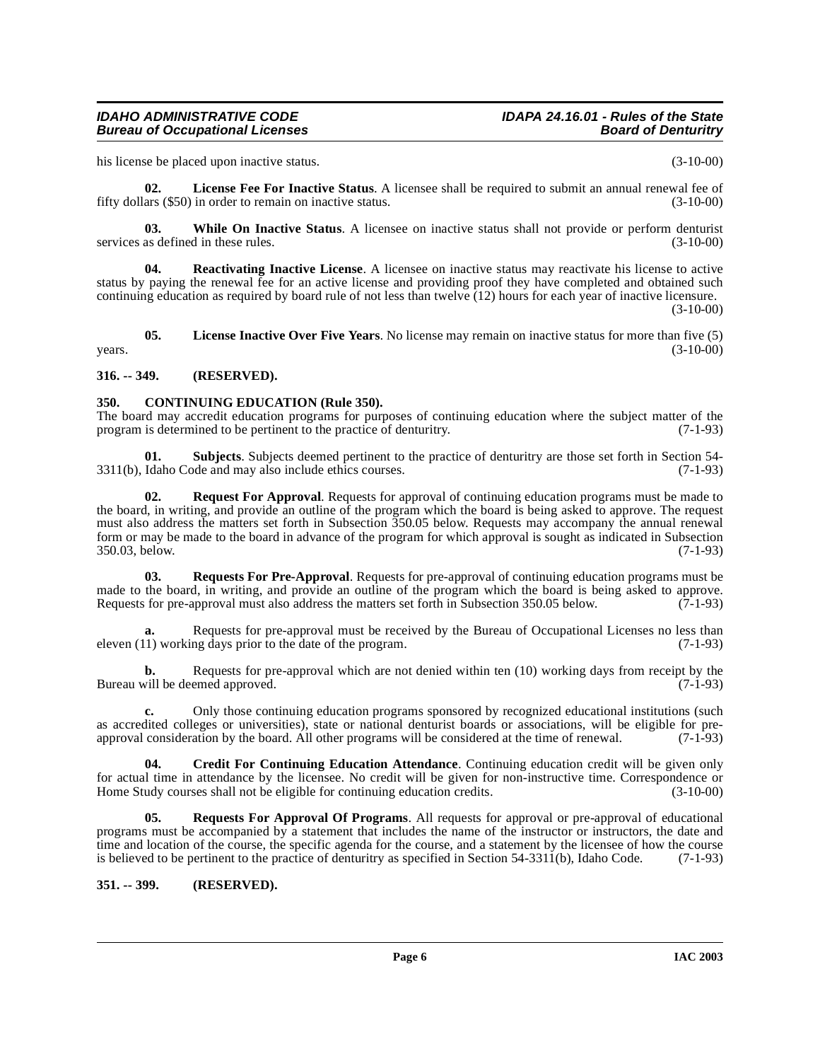# **IDAHO ADMINISTRATIVE CODE IDAPA 24.16.01 - Rules of the State**

his license be placed upon inactive status. (3-10-00)

<span id="page-5-5"></span>**02. License Fee For Inactive Status**. A licensee shall be required to submit an annual renewal fee of fifty dollars (\$50) in order to remain on inactive status. (3-10-00)

<span id="page-5-11"></span>**03.** While On Inactive Status. A licensee on inactive status shall not provide or perform denturist as defined in these rules. (3-10-00) services as defined in these rules.

<span id="page-5-7"></span>**04. Reactivating Inactive License**. A licensee on inactive status may reactivate his license to active status by paying the renewal fee for an active license and providing proof they have completed and obtained such continuing education as required by board rule of not less than twelve (12) hours for each year of inactive licensure. (3-10-00)

<span id="page-5-6"></span>**05. License Inactive Over Five Years**. No license may remain on inactive status for more than five (5)  $years.$  (3-10-00)

# <span id="page-5-0"></span>**316. -- 349. (RESERVED).**

# <span id="page-5-3"></span><span id="page-5-1"></span>**350. CONTINUING EDUCATION (Rule 350).**

The board may accredit education programs for purposes of continuing education where the subject matter of the program is determined to be pertinent to the practice of denturity. (7-1-93) program is determined to be pertinent to the practice of denturitry.

**01. Subjects**. Subjects deemed pertinent to the practice of denturitry are those set forth in Section 54- 3311(b), Idaho Code and may also include ethics courses. (7-1-93)

<span id="page-5-8"></span>**02. Request For Approval**. Requests for approval of continuing education programs must be made to the board, in writing, and provide an outline of the program which the board is being asked to approve. The request must also address the matters set forth in Subsection 350.05 below. Requests may accompany the annual renewal form or may be made to the board in advance of the program for which approval is sought as indicated in Subsection 350.03, below. (7-1-93) 350.03, below.

<span id="page-5-10"></span>**03. Requests For Pre-Approval**. Requests for pre-approval of continuing education programs must be made to the board, in writing, and provide an outline of the program which the board is being asked to approve. Requests for pre-approval must also address the matters set forth in Subsection 350.05 below. (7-1-93)

**a.** Requests for pre-approval must be received by the Bureau of Occupational Licenses no less than 1) working days prior to the date of the program. (7-1-93) eleven  $(11)$  working days prior to the date of the program.

**b.** Requests for pre-approval which are not denied within ten (10) working days from receipt by the vill be deemed approved. (7-1-93) Bureau will be deemed approved.

**c.** Only those continuing education programs sponsored by recognized educational institutions (such as accredited colleges or universities), state or national denturist boards or associations, will be eligible for preapproval consideration by the board. All other programs will be considered at the time of renewal. (7-1-93)

<span id="page-5-4"></span>**04. Credit For Continuing Education Attendance**. Continuing education credit will be given only for actual time in attendance by the licensee. No credit will be given for non-instructive time. Correspondence or Home Study courses shall not be eligible for continuing education credits. (3-10-00)

<span id="page-5-9"></span>**05. Requests For Approval Of Programs**. All requests for approval or pre-approval of educational programs must be accompanied by a statement that includes the name of the instructor or instructors, the date and time and location of the course, the specific agenda for the course, and a statement by the licensee of how the course is believed to be pertinent to the practice of denturitry as specified in Section 54-3311(b), Idaho Code. (7-1-93)

# <span id="page-5-2"></span>**351. -- 399. (RESERVED).**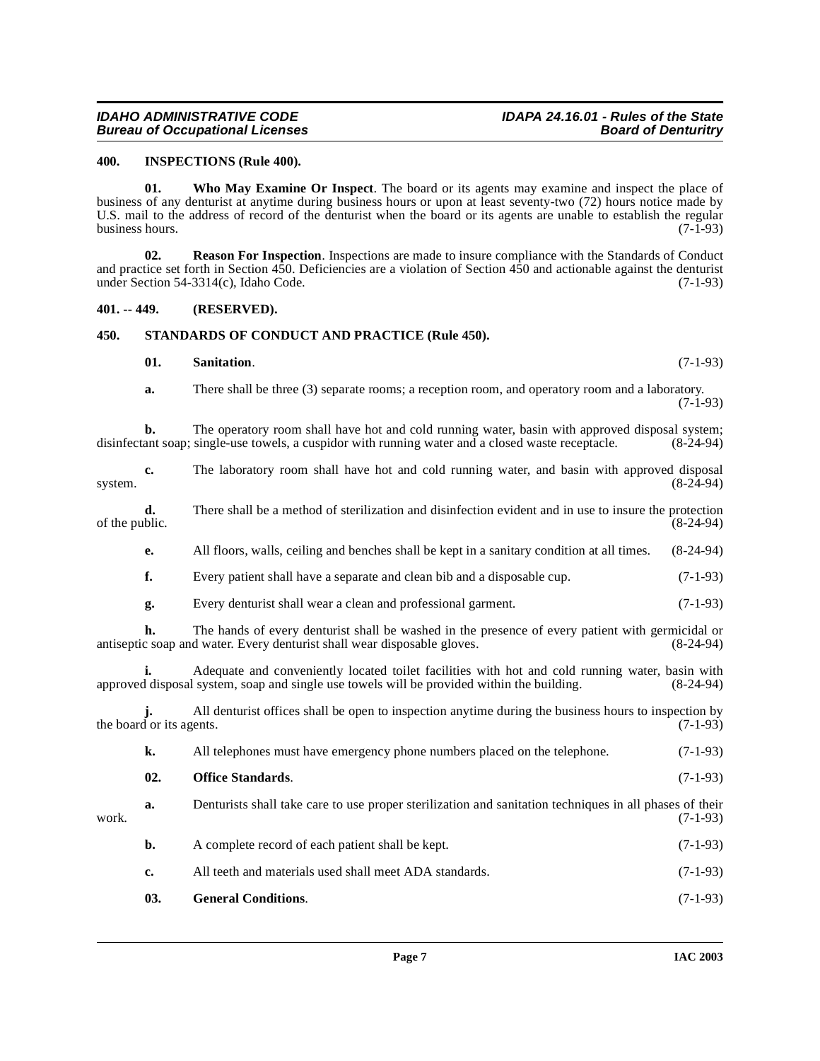# **IDAHO ADMINISTRATIVE CODE IDAPA 24.16.01 - Rules of the State**

### <span id="page-6-3"></span><span id="page-6-0"></span>**400. INSPECTIONS (Rule 400).**

<span id="page-6-8"></span>**01. Who May Examine Or Inspect**. The board or its agents may examine and inspect the place of business of any denturist at anytime during business hours or upon at least seventy-two (72) hours notice made by U.S. mail to the address of record of the denturist when the board or its agents are unable to establish the regular business hours. (7-1-93) business hours.

<span id="page-6-5"></span>**02. Reason For Inspection**. Inspections are made to insure compliance with the Standards of Conduct and practice set forth in Section 450. Deficiencies are a violation of Section 450 and actionable against the denturist under Section 54-3314(c), Idaho Code. (7-1-93)

# <span id="page-6-1"></span>**401. -- 449. (RESERVED).**

# <span id="page-6-2"></span>**450. STANDARDS OF CONDUCT AND PRACTICE (Rule 450).**

# <span id="page-6-7"></span><span id="page-6-6"></span>**01. Sanitation**. (7-1-93)

**a.** There shall be three (3) separate rooms; a reception room, and operatory room and a laboratory. (7-1-93)

**b.** The operatory room shall have hot and cold running water, basin with approved disposal system; ant soap; single-use towels, a cuspidor with running water and a closed waste receptacle. (8-24-94) disinfectant soap; single-use towels, a cuspidor with running water and a closed waste receptacle.

<span id="page-6-4"></span>

| system.        | c.                       | The laboratory room shall have hot and cold running water, and basin with approved disposal                                                                                                   | $(8-24-94)$ |
|----------------|--------------------------|-----------------------------------------------------------------------------------------------------------------------------------------------------------------------------------------------|-------------|
| of the public. | d.                       | There shall be a method of sterilization and disinfection evident and in use to insure the protection                                                                                         | $(8-24-94)$ |
|                | е.                       | All floors, walls, ceiling and benches shall be kept in a sanitary condition at all times.                                                                                                    | $(8-24-94)$ |
|                | f.                       | Every patient shall have a separate and clean bib and a disposable cup.                                                                                                                       | $(7-1-93)$  |
|                | g.                       | Every denturist shall wear a clean and professional garment.                                                                                                                                  | $(7-1-93)$  |
|                | h.                       | The hands of every denturist shall be washed in the presence of every patient with germicidal or<br>antiseptic soap and water. Every denturist shall wear disposable gloves.                  | $(8-24-94)$ |
|                | i.                       | Adequate and conveniently located toilet facilities with hot and cold running water, basin with<br>approved disposal system, soap and single use towels will be provided within the building. | $(8-24-94)$ |
|                | the board or its agents. | All denturist offices shall be open to inspection anytime during the business hours to inspection by                                                                                          | $(7-1-93)$  |
|                | k.                       | All telephones must have emergency phone numbers placed on the telephone.                                                                                                                     | $(7-1-93)$  |
|                | 02.                      | <b>Office Standards.</b>                                                                                                                                                                      | $(7-1-93)$  |
| work.          | a.                       | Denturists shall take care to use proper sterilization and sanitation techniques in all phases of their                                                                                       | $(7-1-93)$  |
|                | b.                       | A complete record of each patient shall be kept.                                                                                                                                              | $(7-1-93)$  |
|                | c.                       | All teeth and materials used shall meet ADA standards.                                                                                                                                        | $(7-1-93)$  |
|                | 03.                      | <b>General Conditions.</b>                                                                                                                                                                    | $(7-1-93)$  |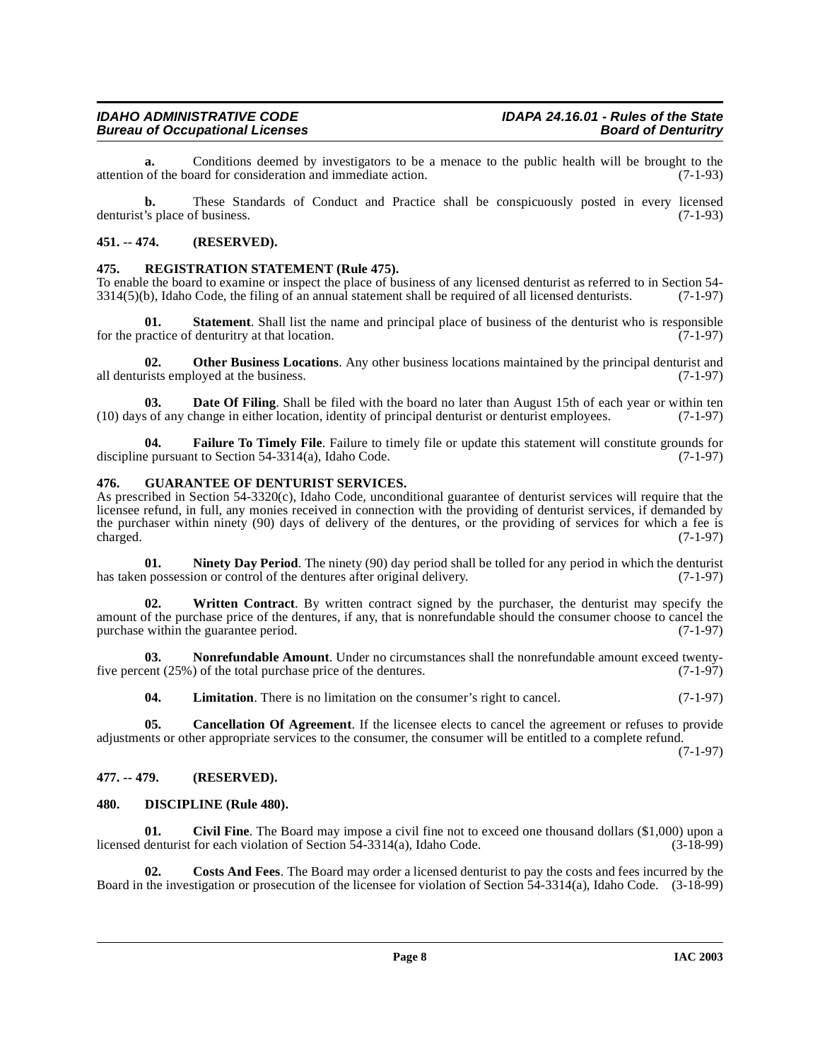**a.** Conditions deemed by investigators to be a menace to the public health will be brought to the of the board for consideration and immediate action. (7-1-93) attention of the board for consideration and immediate action.

**b.** These Standards of Conduct and Practice shall be conspicuously posted in every licensed 's place of business. (7-1-93) denturist's place of business.

# <span id="page-7-0"></span>**451. -- 474. (RESERVED).**

# <span id="page-7-16"></span><span id="page-7-1"></span>**475. REGISTRATION STATEMENT (Rule 475).**

To enable the board to examine or inspect the place of business of any licensed denturist as referred to in Section 54-  $3314(5)$ (b), Idaho Code, the filing of an annual statement shall be required of all licensed denturists. (7-1-97)

**01.** Statement. Shall list the name and principal place of business of the denturist who is responsible ractice of denturitry at that location. (7-1-97) for the practice of denturitry at that location.

<span id="page-7-15"></span>**02. Other Business Locations**. Any other business locations maintained by the principal denturist and rists employed at the business. (7-1-97) all denturists employed at the business.

<span id="page-7-8"></span>**03. Date Of Filing**. Shall be filed with the board no later than August 15th of each year or within ten (10) days of any change in either location, identity of principal denturist or denturist employees. (7-1-97)

<span id="page-7-10"></span>**Failure To Timely File**. Failure to timely file or update this statement will constitute grounds for t to Section 54-3314(a), Idaho Code. (7-1-97) discipline pursuant to Section  $54-3314(a)$ , Idaho Code.

### <span id="page-7-11"></span><span id="page-7-2"></span>**476. GUARANTEE OF DENTURIST SERVICES.**

As prescribed in Section 54-3320(c), Idaho Code, unconditional guarantee of denturist services will require that the licensee refund, in full, any monies received in connection with the providing of denturist services, if demanded by the purchaser within ninety (90) days of delivery of the dentures, or the providing of services for which a fee is charged.  $(7-1-97)$  $\alpha$  charged.  $(7-1-97)$ 

<span id="page-7-13"></span>**01. Ninety Day Period**. The ninety (90) day period shall be tolled for any period in which the denturist has taken possession or control of the dentures after original delivery. (7-1-97)

<span id="page-7-17"></span>**02. Written Contract**. By written contract signed by the purchaser, the denturist may specify the amount of the purchase price of the dentures, if any, that is nonrefundable should the consumer choose to cancel the purchase within the guarantee period. (7-1-97)

**03. Nonrefundable Amount**. Under no circumstances shall the nonrefundable amount exceed twentyfive percent (25%) of the total purchase price of the dentures. (7-1-97)

<span id="page-7-14"></span><span id="page-7-12"></span><span id="page-7-5"></span>**04.** Limitation. There is no limitation on the consumer's right to cancel. (7-1-97)

**05. Cancellation Of Agreement**. If the licensee elects to cancel the agreement or refuses to provide adjustments or other appropriate services to the consumer, the consumer will be entitled to a complete refund.

(7-1-97)

# <span id="page-7-3"></span>**477. -- 479. (RESERVED).**

# <span id="page-7-9"></span><span id="page-7-4"></span>**480. DISCIPLINE (Rule 480).**

<span id="page-7-6"></span>**01. Civil Fine**. The Board may impose a civil fine not to exceed one thousand dollars (\$1,000) upon a licensed denturist for each violation of Section 54-3314(a), Idaho Code. (3-18-99)

<span id="page-7-7"></span>**02. Costs And Fees**. The Board may order a licensed denturist to pay the costs and fees incurred by the Board in the investigation or prosecution of the licensee for violation of Section 54-3314(a), Idaho Code. (3-18-99)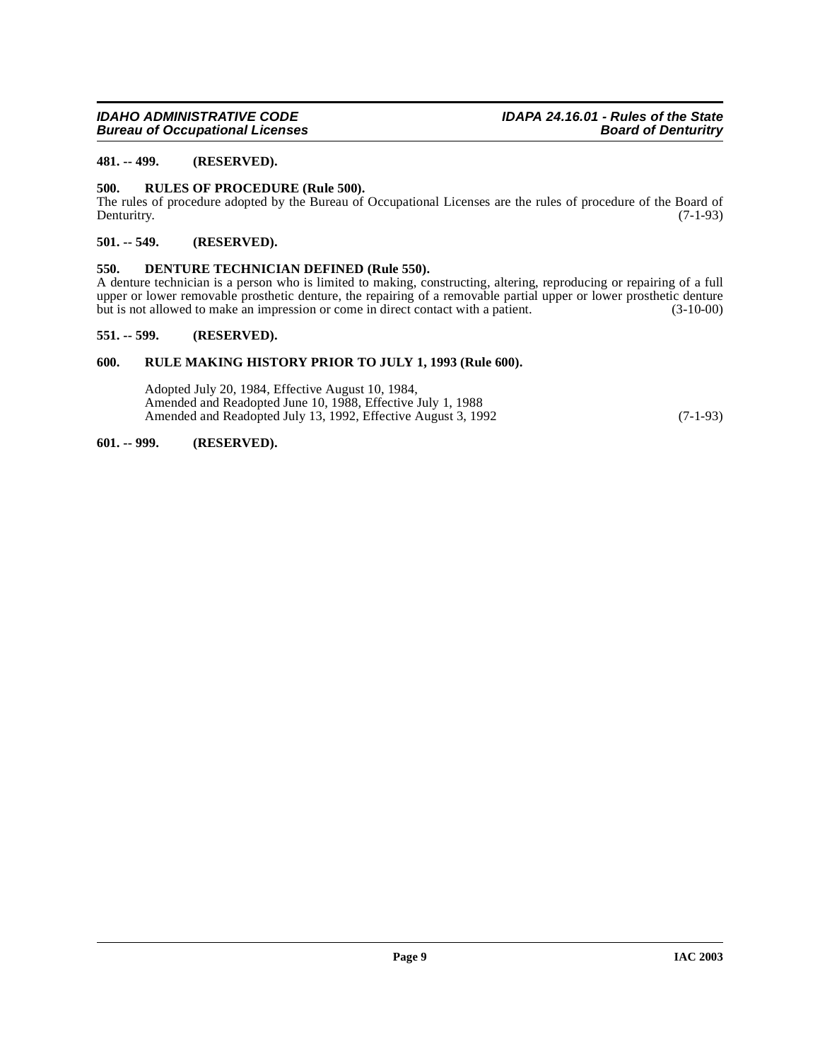# <span id="page-8-0"></span>**481. -- 499. (RESERVED).**

### <span id="page-8-8"></span><span id="page-8-1"></span>**500. RULES OF PROCEDURE (Rule 500).**

The rules of procedure adopted by the Bureau of Occupational Licenses are the rules of procedure of the Board of Denturity. (7-1-93) Denturitry. (7-1-93)

## <span id="page-8-2"></span>**501. -- 549. (RESERVED).**

### <span id="page-8-7"></span><span id="page-8-3"></span>**550. DENTURE TECHNICIAN DEFINED (Rule 550).**

A denture technician is a person who is limited to making, constructing, altering, reproducing or repairing of a full upper or lower removable prosthetic denture, the repairing of a removable partial upper or lower prosthetic denture<br>but is not allowed to make an impression or come in direct contact with a patient. (3-10-00) but is not allowed to make an impression or come in direct contact with a patient.

### <span id="page-8-4"></span>**551. -- 599. (RESERVED).**

# <span id="page-8-5"></span>**600. RULE MAKING HISTORY PRIOR TO JULY 1, 1993 (Rule 600).**

Adopted July 20, 1984, Effective August 10, 1984, Amended and Readopted June 10, 1988, Effective July 1, 1988 Amended and Readopted July 13, 1992, Effective August 3, 1992 (7-1-93)

# <span id="page-8-6"></span>**601. -- 999. (RESERVED).**